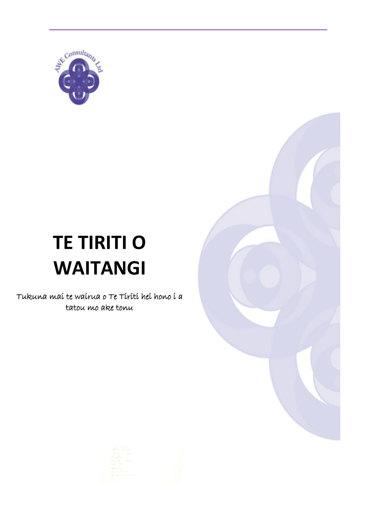

# **TE TIRITI O WAITANGI**

Tukuna maí te waírua o Te Tírítí heí hono í a tatou mo ake tonu

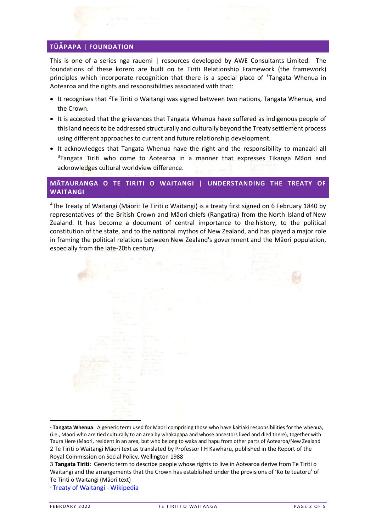# **TŪǠPAPA | FOUNDATION**

This is one of a series nga rauemi | resources developed by AWE Consultants Limited. The foundations of these korero are built on te Tiriti Relationship Framework (the framework) principles which incorporate recognition that there is a special place of <sup>[1](#page-1-0)</sup>Tangata Whenua in Aotearoa and the rights and responsibilities associated with that:

- It recognises that <sup>[2](#page-1-1)</sup>Te Tiriti o Waitangi was signed between two nations, Tangata Whenua, and the Crown.
- It is accepted that the grievances that Tangata Whenua have suffered as indigenous people of this land needs to be addressed structurally and culturally beyond the Treaty settlement process using different approaches to current and future relationship development.
- It acknowledges that Tangata Whenua have the right and the responsibility to manaaki all <sup>[3](#page-1-2)</sup>Tangata Tiriti who come to Aotearoa in a manner that expresses Tikanga Māori and acknowledges cultural worldview difference.

# **MĀTAURANGA O TE TIRITI O WAITANGI | UNDERSTANDING THE TREATY OF WAITANGI**

[4](#page-1-3) The Treaty of Waitangi ([Māori](https://en.wikipedia.org/wiki/M%C4%81ori_language): Te Tiriti o Waitangi) is a [treaty](https://en.wikipedia.org/wiki/Treaty) first signed on 6 February 1840 by representatives of the British [Crown](https://en.wikipedia.org/wiki/The_Crown) and [Māori](https://en.wikipedia.org/wiki/M%C4%81ori_people) chiefs [\(Rangatira\)](https://en.wikipedia.org/wiki/Rangatira) from the [North Island](https://en.wikipedia.org/wiki/North_Island) of [New](https://en.wikipedia.org/wiki/New_Zealand)  [Zealand.](https://en.wikipedia.org/wiki/New_Zealand) It has become a document of central importance to the [history,](https://en.wikipedia.org/wiki/History_of_New_Zealand) to the political constitution of the state, and to the [national mythos](https://en.wikipedia.org/wiki/National_mythos) of New Zealand, and has played a major role in framing the political relations between [New Zealand's government](https://en.wikipedia.org/wiki/New_Zealand_Government) and the Māori population, especially from the late-20th century.



<sup>1</sup> **Tangata Whenua**: A generic term used for Maori comprising those who have kaitiaki responsibilities for the whenua, (i.e., Maori who are tied culturally to an area by whakapapa and whose ancestors lived and died there), together with Taura Here (Maori, resident in an area, but who belong to waka and hapu from other parts of Aotearoa/New Zealand 2 Te Tiriti o Waitangi Māori text as translated by Professor I H Kawharu, published in the Report of the Royal Commission on Social Policy, Wellington 1988

<span id="page-1-3"></span><sup>4</sup> [Treaty of Waitangi -](https://en.wikipedia.org/wiki/Treaty_of_Waitangi) Wikipedia

<span id="page-1-2"></span><span id="page-1-1"></span><span id="page-1-0"></span><sup>3</sup> **Tangata Tiriti**: Generic term to describe people whose rights to live in Aotearoa derive from Te Tiriti o Waitangi and the arrangements that the Crown has established under the provisions of 'Ko te tuatoru' of Te Tiriti o Waitangi (Māori text)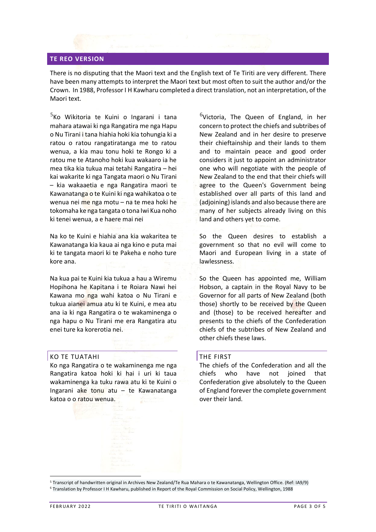#### **TE REO VERSION**

There is no disputing that the Maori text and the English text of Te Tiriti are very different. There have been many attempts to interpret the Maori text but most often to suit the author and/or the Crown. In 1988, Professor I H Kawharu completed a direct translation, not an interpretation, of the Maori text.

<sup>[5](#page-2-0)</sup>Ko Wikitoria te Kuini o Ingarani i tana mahara atawai ki nga Rangatira me nga Hapu o Nu Tirani i tana hiahia hoki kia tohungia ki a ratou o ratou rangatiratanga me to ratou wenua, a kia mau tonu hoki te Rongo ki a ratou me te Atanoho hoki kua wakaaro ia he mea tika kia tukua mai tetahi Rangatira – hei kai wakarite ki nga Tangata maori o Nu Tirani – kia wakaaetia e nga Rangatira maori te Kawanatanga o te Kuini ki nga wahikatoa o te wenua nei me nga motu – na te mea hoki he tokomaha ke nga tangata o tona Iwi Kua noho ki tenei wenua, a e haere mai nei

Na ko te Kuini e hiahia ana kia wakaritea te Kawanatanga kia kaua ai nga kino e puta mai ki te tangata maori ki te Pakeha e noho ture kore ana.

Na kua pai te Kuini kia tukua a hau a Wiremu Hopihona he Kapitana i te Roiara Nawi hei Kawana mo nga wahi katoa o Nu Tirani e tukua aianei amua atu ki te Kuini, e mea atu ana ia ki nga Rangatira o te wakaminenga o nga hapu o Nu Tirani me era Rangatira atu enei ture ka korerotia nei.

## KO TE TUATAHI

Ko nga Rangatira o te wakaminenga me nga Rangatira katoa hoki ki hai i uri ki taua wakaminenga ka tuku rawa atu ki te Kuini o Ingarani ake tonu atu – te Kawanatanga katoa o o ratou wenua.

 $6$ Victoria, The Queen of England, in her concern to protect the chiefs and subtribes of New Zealand and in her desire to preserve their chieftainship and their lands to them and to maintain peace and good order considers it just to appoint an administrator one who will negotiate with the people of New Zealand to the end that their chiefs will agree to the Queen's Government being established over all parts of this land and (adjoining) islands and also because there are many of her subjects already living on this land and others yet to come.

So the Queen desires to establish a government so that no evil will come to Maori and European living in a state of lawlessness.

So the Queen has appointed me, William Hobson, a captain in the Royal Navy to be Governor for all parts of New Zealand (both those) shortly to be received by the Queen and (those) to be received hereafter and presents to the chiefs of the Confederation chiefs of the subtribes of New Zealand and other chiefs these laws.

## THE FIRST

The chiefs of the Confederation and all the chiefs who have not joined that Confederation give absolutely to the Queen of England forever the complete government over their land.

<span id="page-2-0"></span><sup>5</sup> Transcript of handwritten original in Archives New Zealand/Te Rua Mahara o te Kawanatanga, Wellington Office. (Ref: IA9/9)

<span id="page-2-1"></span><sup>6</sup> Translation by Professor I H Kawharu, published in Report of the Royal Commission on Social Policy, Wellington, 1988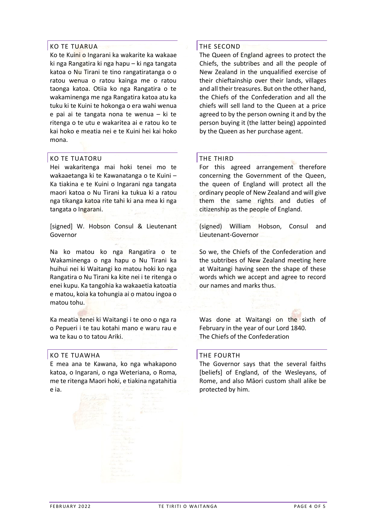# KO TE TUARUA

Ko te Kuini o Ingarani ka wakarite ka wakaae ki nga Rangatira ki nga hapu – ki nga tangata katoa o Nu Tirani te tino rangatiratanga o o ratou wenua o ratou kainga me o ratou taonga katoa. Otiia ko nga Rangatira o te wakaminenga me nga Rangatira katoa atu ka tuku ki te Kuini te hokonga o era wahi wenua e pai ai te tangata nona te wenua – ki te ritenga o te utu e wakaritea ai e ratou ko te kai hoko e meatia nei e te Kuini hei kai hoko mona.

#### KO TE TUATORU

Hei wakaritenga mai hoki tenei mo te wakaaetanga ki te Kawanatanga o te Kuini – Ka tiakina e te Kuini o Ingarani nga tangata maori katoa o Nu Tirani ka tukua ki a ratou nga tikanga katoa rite tahi ki ana mea ki nga tangata o Ingarani.

[signed] W. Hobson Consul & Lieutenant Governor

Na ko matou ko nga Rangatira o te Wakaminenga o nga hapu o Nu Tirani ka huihui nei ki Waitangi ko matou hoki ko nga Rangatira o Nu Tirani ka kite nei i te ritenga o enei kupu. Ka tangohia ka wakaaetia katoatia e matou, koia ka tohungia ai o matou ingoa o matou tohu.

Ka meatia tenei ki Waitangi i te ono o nga ra o Pepueri i te tau kotahi mano e waru rau e wa te kau o to tatou Ariki.

## KO TE TUAWHA

E mea ana te Kawana, ko nga whakapono katoa, o Ingarani, o nga Weteriana, o Roma, me te ritenga Maori hoki, e tiakina ngatahitia e ia.

# THE SECOND

The Queen of England agrees to protect the Chiefs, the subtribes and all the people of New Zealand in the unqualified exercise of their chieftainship over their lands, villages and all their treasures. But on the other hand, the Chiefs of the Confederation and all the chiefs will sell land to the Queen at a price agreed to by the person owning it and by the person buying it (the latter being) appointed by the Queen as her purchase agent.

#### THE THIRD

For this agreed arrangement therefore concerning the Government of the Queen, the queen of England will protect all the ordinary people of New Zealand and will give them the same rights and duties of citizenship as the people of England.

(signed) William Hobson, Consul and Lieutenant-Governor

So we, the Chiefs of the Confederation and the subtribes of New Zealand meeting here at Waitangi having seen the shape of these words which we accept and agree to record our names and marks thus.

Was done at Waitangi on the sixth of February in the year of our Lord 1840. The Chiefs of the Confederation

#### THE FOURTH

The Governor says that the several faiths [beliefs] of England, of the Wesleyans, of Rome, and also Māori custom shall alike be protected by him.